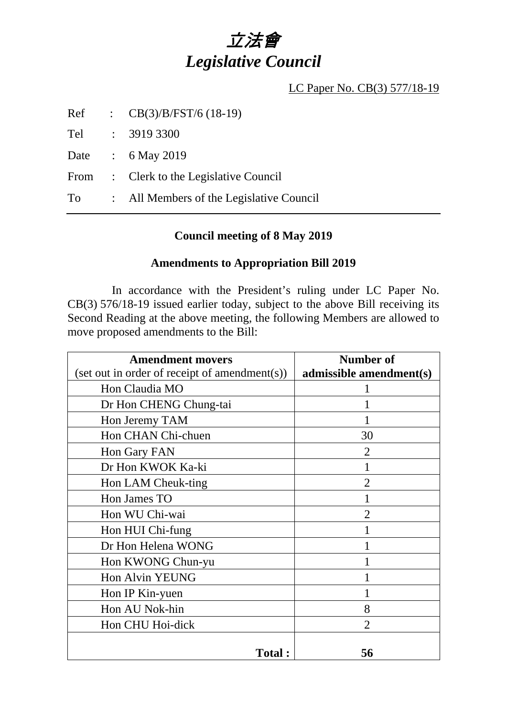# 立法會 *Legislative Council*

LC Paper No. CB(3) 577/18-19

Ref : CB(3)/B/FST/6 (18-19)

Tel : 3919 3300

Date : 6 May 2019

From : Clerk to the Legislative Council

To : All Members of the Legislative Council

### **Council meeting of 8 May 2019**

#### **Amendments to Appropriation Bill 2019**

 In accordance with the President's ruling under LC Paper No. CB(3) 576/18-19 issued earlier today, subject to the above Bill receiving its Second Reading at the above meeting, the following Members are allowed to move proposed amendments to the Bill:

| <b>Amendment movers</b>                         | Number of               |
|-------------------------------------------------|-------------------------|
| $(set out in order of receipt of amendment(s))$ | admissible amendment(s) |
| Hon Claudia MO                                  |                         |
| Dr Hon CHENG Chung-tai                          |                         |
| Hon Jeremy TAM                                  |                         |
| Hon CHAN Chi-chuen                              | 30                      |
| Hon Gary FAN                                    | 2                       |
| Dr Hon KWOK Ka-ki                               |                         |
| Hon LAM Cheuk-ting                              | $\overline{2}$          |
| Hon James TO                                    |                         |
| Hon WU Chi-wai                                  | $\mathfrak{D}$          |
| Hon HUI Chi-fung                                |                         |
| Dr Hon Helena WONG                              |                         |
| Hon KWONG Chun-yu                               |                         |
| Hon Alvin YEUNG                                 |                         |
| Hon IP Kin-yuen                                 |                         |
| Hon AU Nok-hin                                  | 8                       |
| Hon CHU Hoi-dick                                | $\overline{2}$          |
| <b>Total:</b>                                   | 56                      |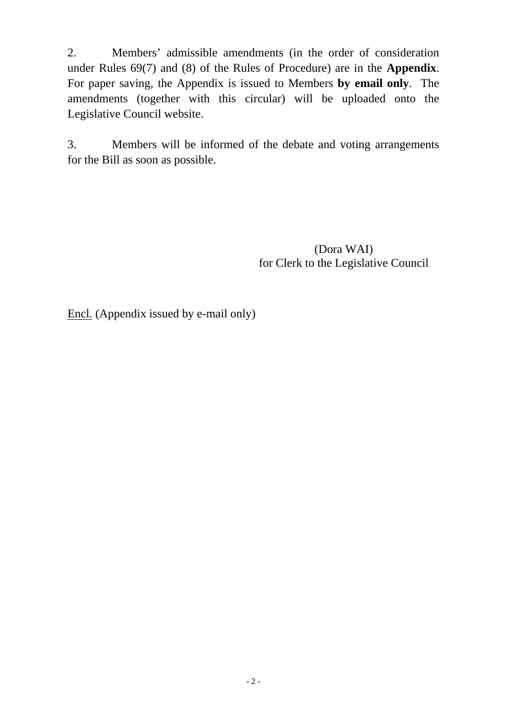2. Members' admissible amendments (in the order of consideration under Rules 69(7) and (8) of the Rules of Procedure) are in the **Appendix**. For paper saving, the Appendix is issued to Members **by email only**. The amendments (together with this circular) will be uploaded onto the Legislative Council website.

3. Members will be informed of the debate and voting arrangements for the Bill as soon as possible.

> (Dora WAI) for Clerk to the Legislative Council

Encl. (Appendix issued by e-mail only)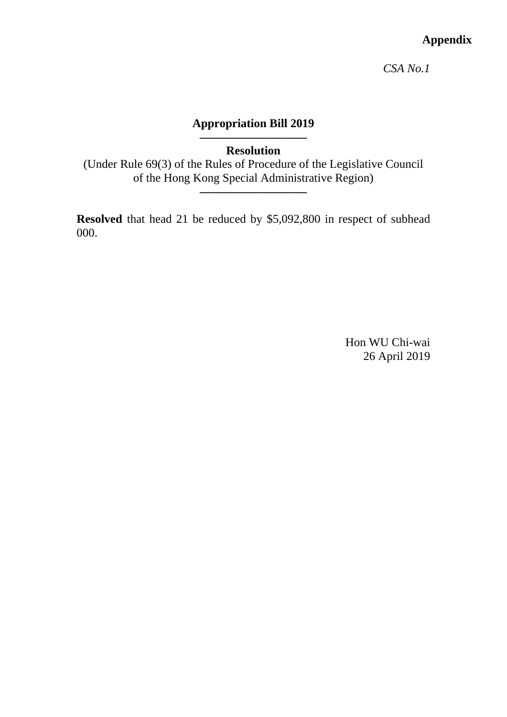# **Appendix**

*CSA No.1* 

# **Appropriation Bill 2019**

**—————————** 

**Resolution** 

(Under Rule 69(3) of the Rules of Procedure of the Legislative Council of the Hong Kong Special Administrative Region)

**—————————**

**Resolved** that head 21 be reduced by \$5,092,800 in respect of subhead 000.

> Hon WU Chi-wai 26 April 2019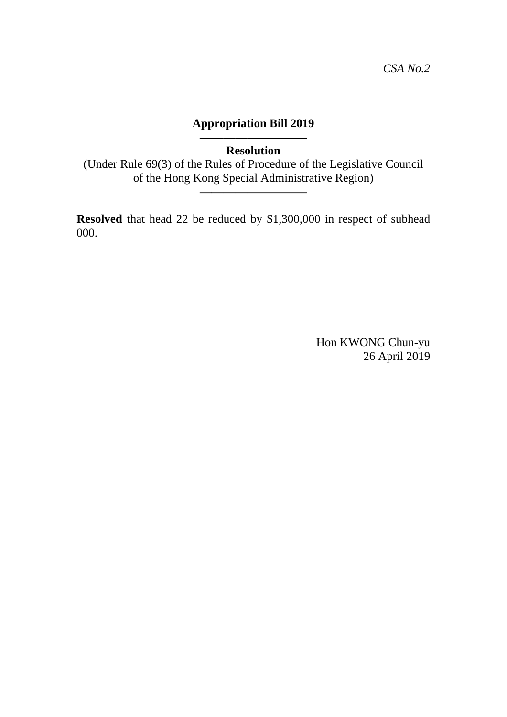### **————————— Resolution**

(Under Rule 69(3) of the Rules of Procedure of the Legislative Council of the Hong Kong Special Administrative Region)

**—————————**

**Resolved** that head 22 be reduced by \$1,300,000 in respect of subhead 000.

> Hon KWONG Chun-yu 26 April 2019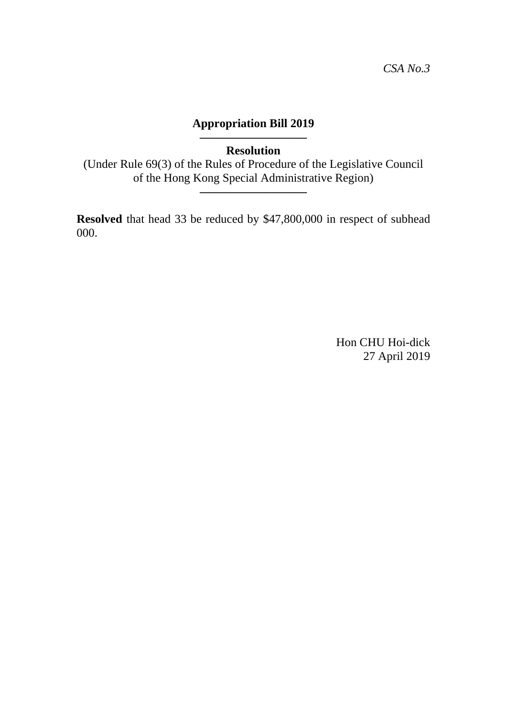### **————————— Resolution**

(Under Rule 69(3) of the Rules of Procedure of the Legislative Council of the Hong Kong Special Administrative Region)

**—————————**

**Resolved** that head 33 be reduced by \$47,800,000 in respect of subhead 000.

> Hon CHU Hoi-dick 27 April 2019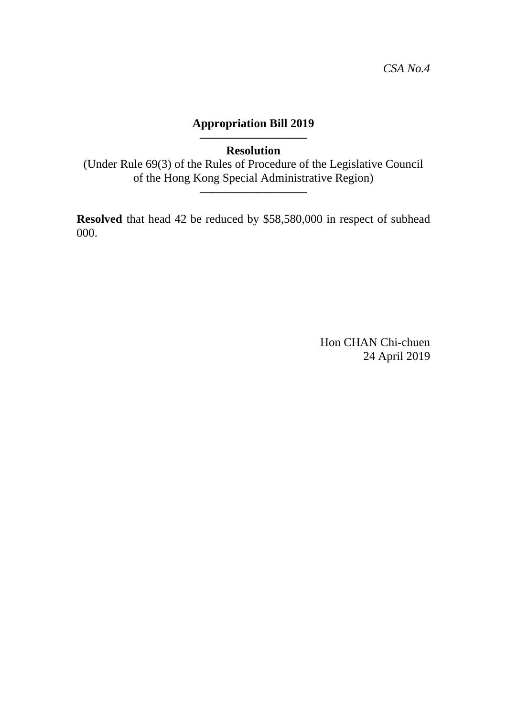### **————————— Resolution**

(Under Rule 69(3) of the Rules of Procedure of the Legislative Council of the Hong Kong Special Administrative Region)

**—————————**

**Resolved** that head 42 be reduced by \$58,580,000 in respect of subhead 000.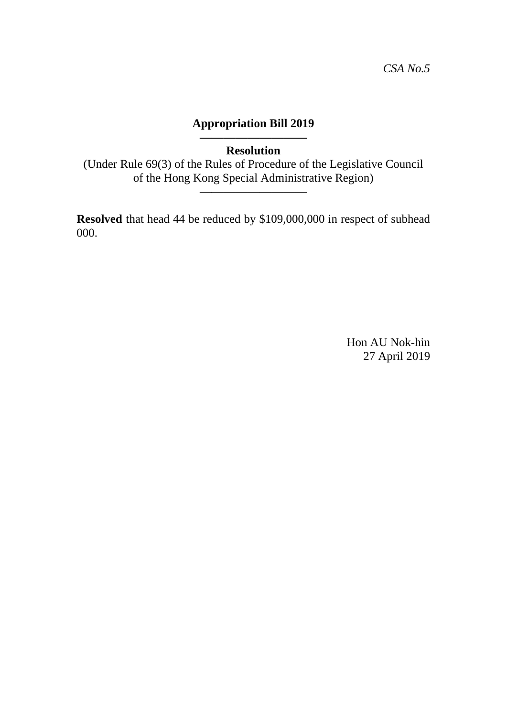### **————————— Resolution**

(Under Rule 69(3) of the Rules of Procedure of the Legislative Council of the Hong Kong Special Administrative Region)

**—————————**

**Resolved** that head 44 be reduced by \$109,000,000 in respect of subhead 000.

> Hon AU Nok-hin 27 April 2019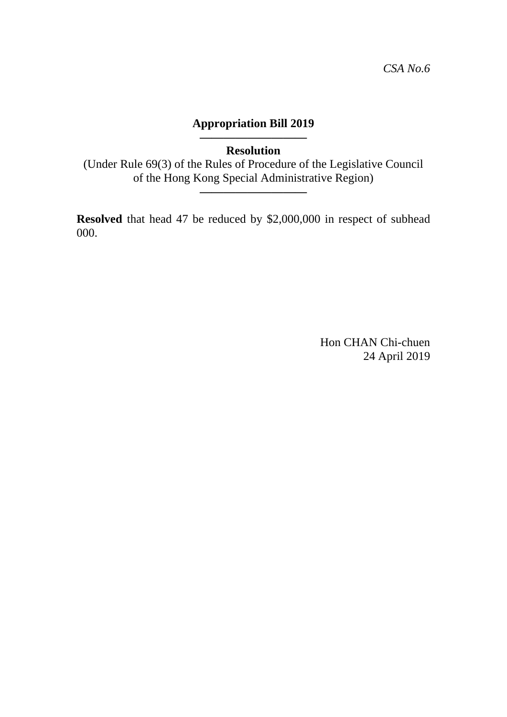### **————————— Resolution**

(Under Rule 69(3) of the Rules of Procedure of the Legislative Council of the Hong Kong Special Administrative Region)

**—————————**

**Resolved** that head 47 be reduced by \$2,000,000 in respect of subhead 000.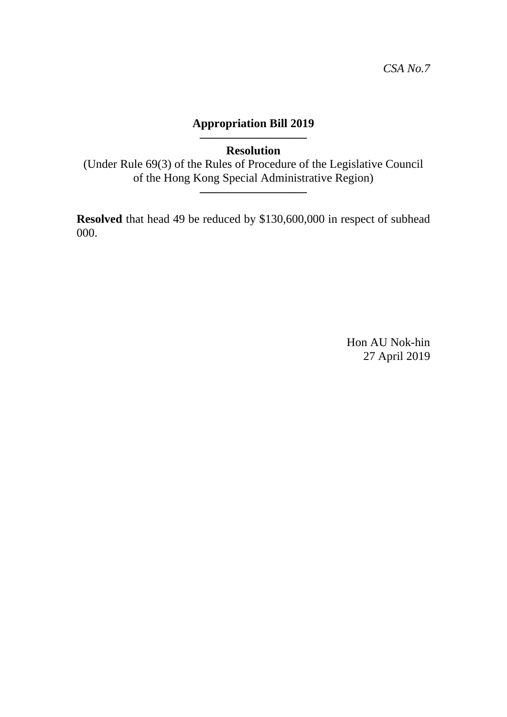### **————————— Resolution**

(Under Rule 69(3) of the Rules of Procedure of the Legislative Council of the Hong Kong Special Administrative Region)

**—————————**

**Resolved** that head 49 be reduced by \$130,600,000 in respect of subhead 000.

> Hon AU Nok-hin 27 April 2019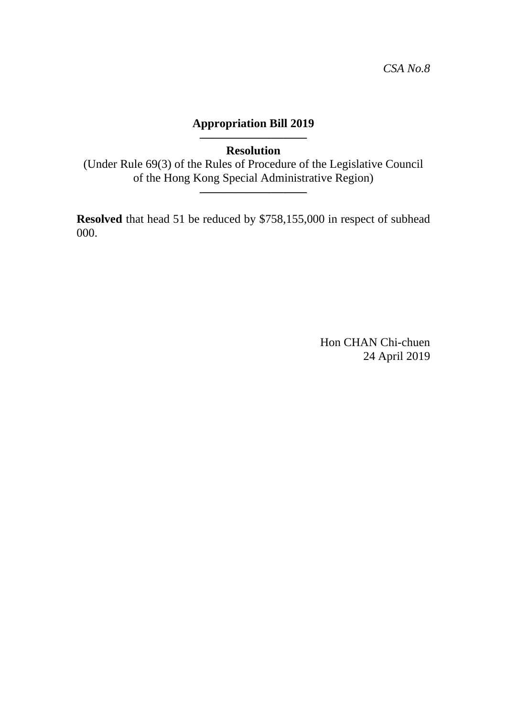### **————————— Resolution**

(Under Rule 69(3) of the Rules of Procedure of the Legislative Council of the Hong Kong Special Administrative Region)

**—————————**

**Resolved** that head 51 be reduced by \$758,155,000 in respect of subhead 000.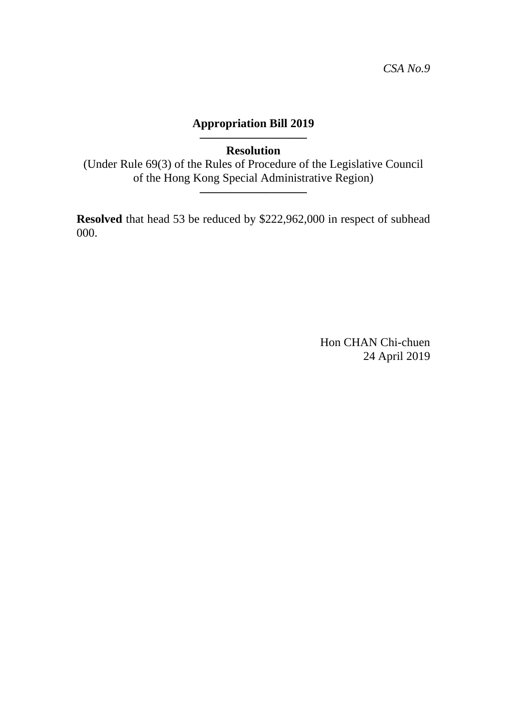### **————————— Resolution**

(Under Rule 69(3) of the Rules of Procedure of the Legislative Council of the Hong Kong Special Administrative Region)

**—————————**

**Resolved** that head 53 be reduced by \$222,962,000 in respect of subhead 000.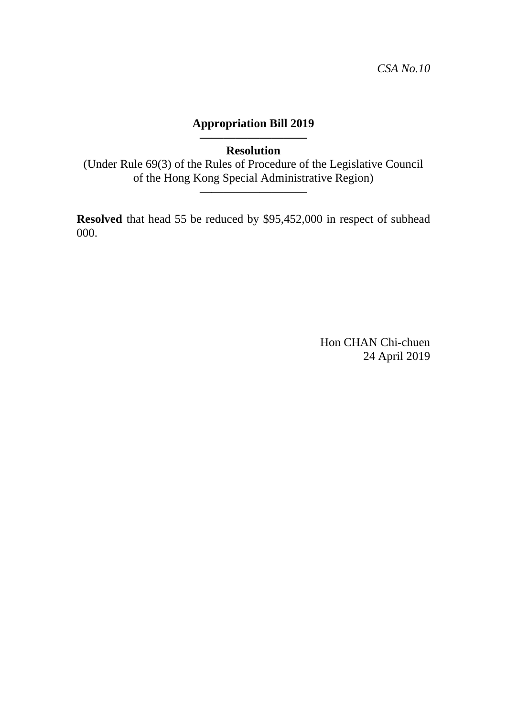### **————————— Resolution**

(Under Rule 69(3) of the Rules of Procedure of the Legislative Council of the Hong Kong Special Administrative Region)

**—————————**

**Resolved** that head 55 be reduced by \$95,452,000 in respect of subhead 000.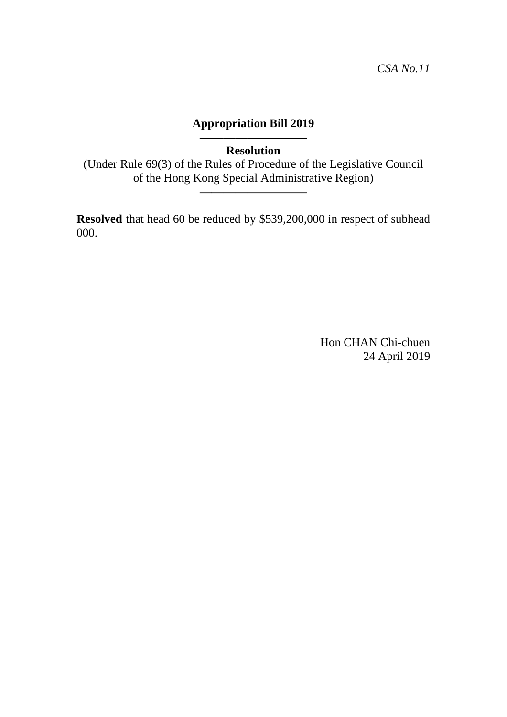### **————————— Resolution**

(Under Rule 69(3) of the Rules of Procedure of the Legislative Council of the Hong Kong Special Administrative Region)

**—————————**

**Resolved** that head 60 be reduced by \$539,200,000 in respect of subhead 000.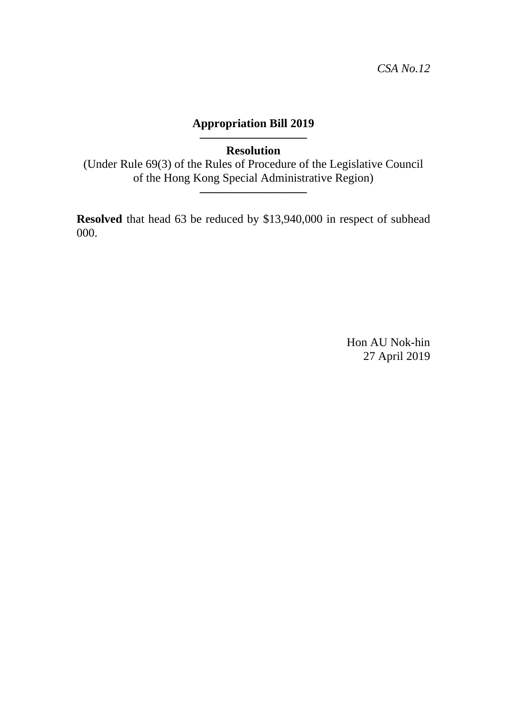### **————————— Resolution**

(Under Rule 69(3) of the Rules of Procedure of the Legislative Council of the Hong Kong Special Administrative Region)

**—————————**

**Resolved** that head 63 be reduced by \$13,940,000 in respect of subhead 000.

> Hon AU Nok-hin 27 April 2019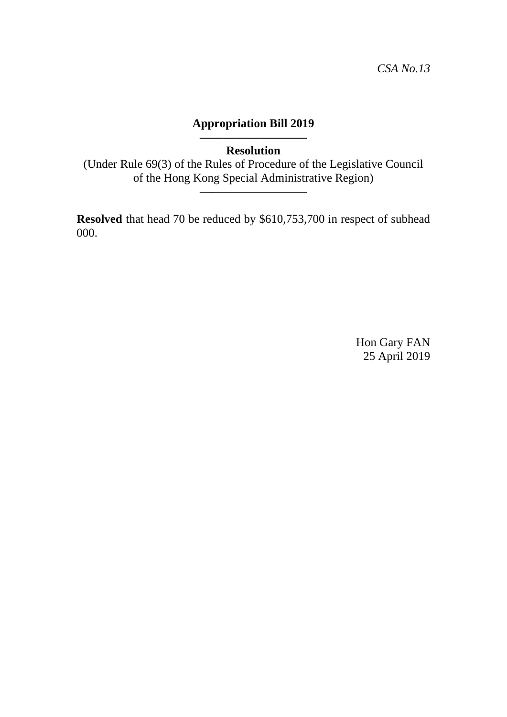**————————— Resolution** 

(Under Rule 69(3) of the Rules of Procedure of the Legislative Council of the Hong Kong Special Administrative Region)

**—————————**

**Resolved** that head 70 be reduced by \$610,753,700 in respect of subhead 000.

> Hon Gary FAN 25 April 2019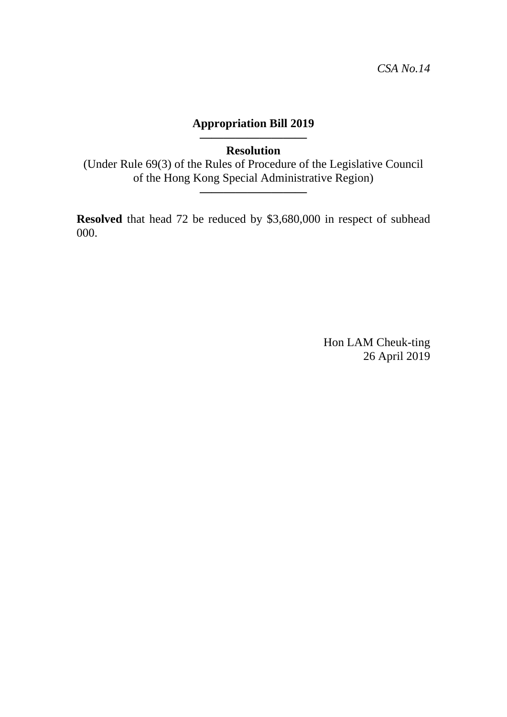### **————————— Resolution**

(Under Rule 69(3) of the Rules of Procedure of the Legislative Council of the Hong Kong Special Administrative Region)

**—————————**

**Resolved** that head 72 be reduced by \$3,680,000 in respect of subhead 000.

> Hon LAM Cheuk-ting 26 April 2019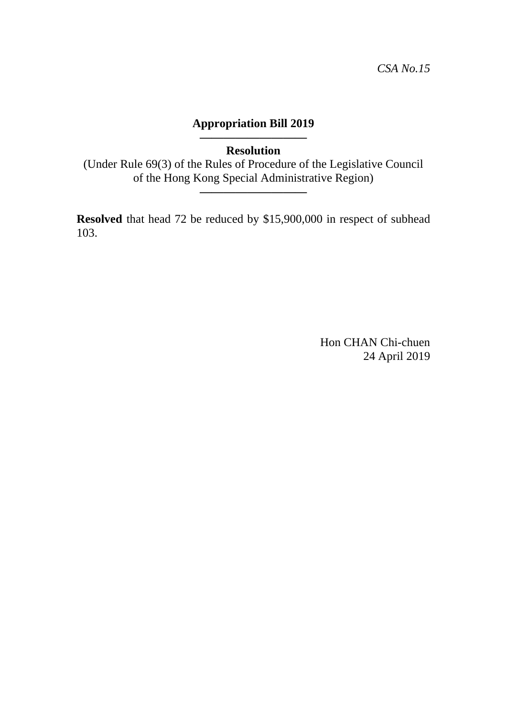### **————————— Resolution**

(Under Rule 69(3) of the Rules of Procedure of the Legislative Council of the Hong Kong Special Administrative Region)

**—————————**

**Resolved** that head 72 be reduced by \$15,900,000 in respect of subhead 103.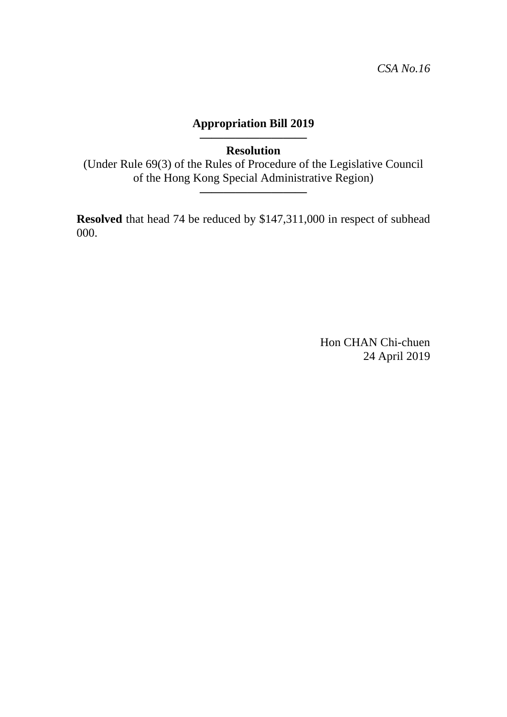### **————————— Resolution**

(Under Rule 69(3) of the Rules of Procedure of the Legislative Council of the Hong Kong Special Administrative Region)

**—————————**

**Resolved** that head 74 be reduced by \$147,311,000 in respect of subhead 000.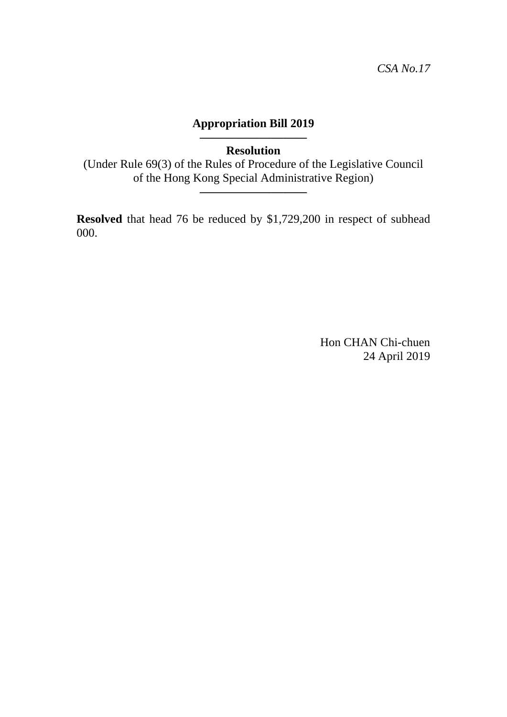### **————————— Resolution**

(Under Rule 69(3) of the Rules of Procedure of the Legislative Council of the Hong Kong Special Administrative Region)

**—————————**

**Resolved** that head 76 be reduced by \$1,729,200 in respect of subhead 000.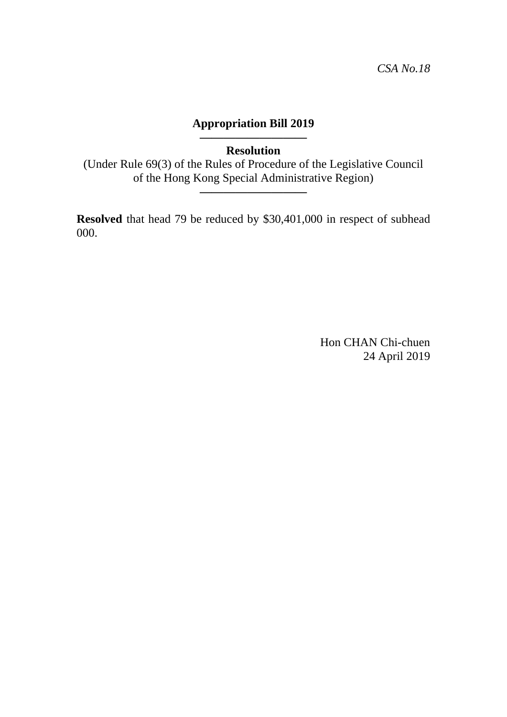### **————————— Resolution**

(Under Rule 69(3) of the Rules of Procedure of the Legislative Council of the Hong Kong Special Administrative Region)

**—————————**

**Resolved** that head 79 be reduced by \$30,401,000 in respect of subhead 000.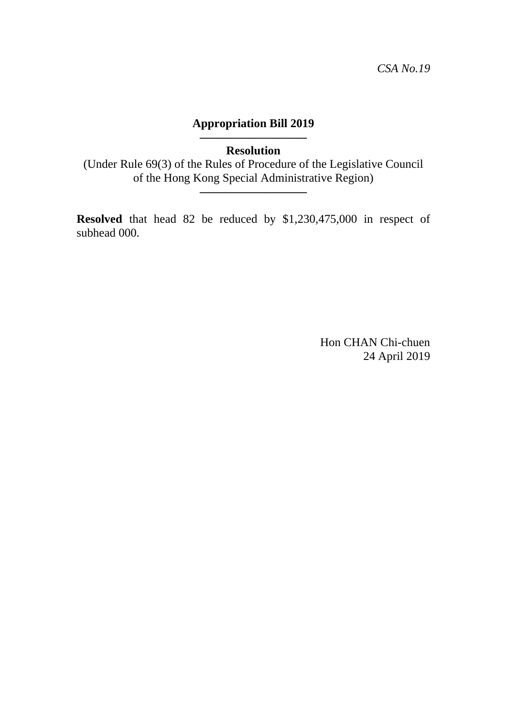### **————————— Resolution**

(Under Rule 69(3) of the Rules of Procedure of the Legislative Council of the Hong Kong Special Administrative Region)

**—————————**

**Resolved** that head 82 be reduced by \$1,230,475,000 in respect of subhead 000.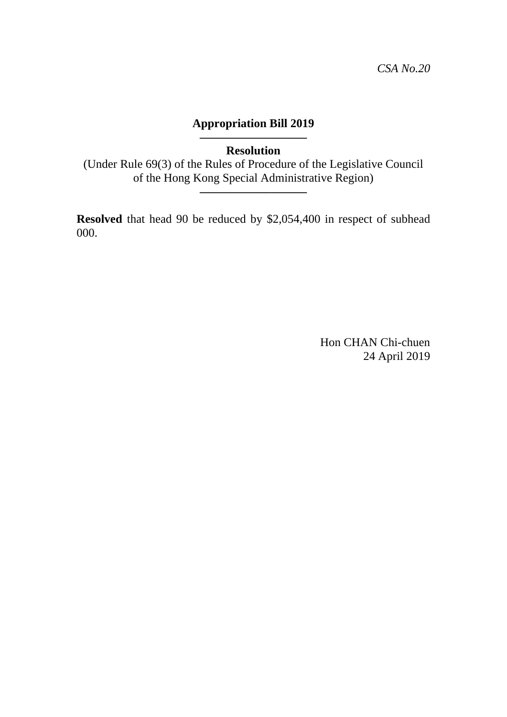### **————————— Resolution**

(Under Rule 69(3) of the Rules of Procedure of the Legislative Council of the Hong Kong Special Administrative Region)

**—————————**

**Resolved** that head 90 be reduced by \$2,054,400 in respect of subhead 000.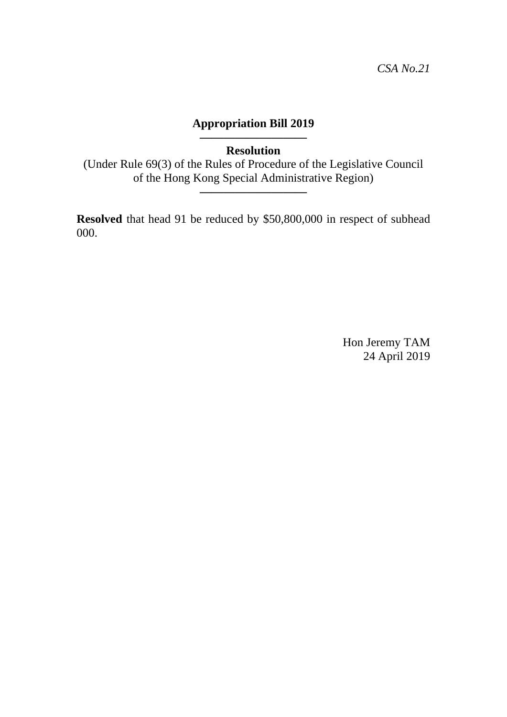### **————————— Resolution**

(Under Rule 69(3) of the Rules of Procedure of the Legislative Council of the Hong Kong Special Administrative Region)

**—————————**

**Resolved** that head 91 be reduced by \$50,800,000 in respect of subhead 000.

> Hon Jeremy TAM 24 April 2019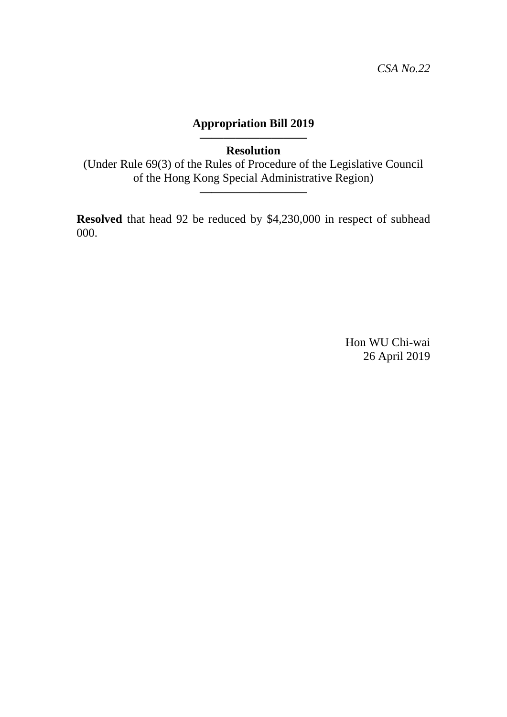### **————————— Resolution**

(Under Rule 69(3) of the Rules of Procedure of the Legislative Council of the Hong Kong Special Administrative Region)

**—————————**

**Resolved** that head 92 be reduced by \$4,230,000 in respect of subhead 000.

> Hon WU Chi-wai 26 April 2019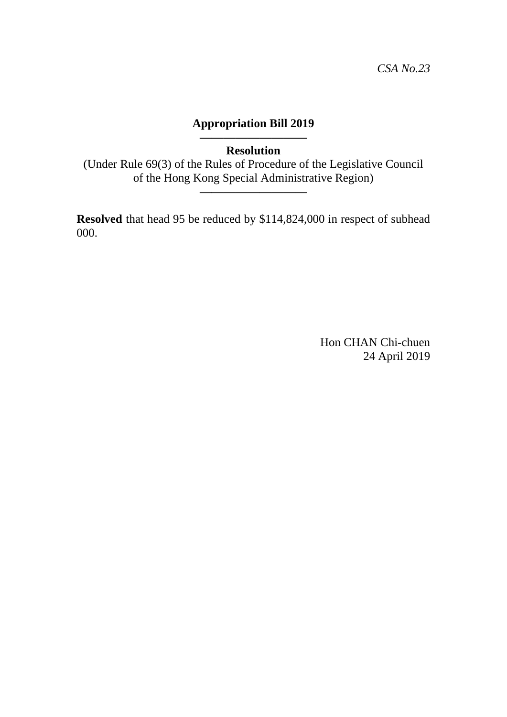### **————————— Resolution**

(Under Rule 69(3) of the Rules of Procedure of the Legislative Council of the Hong Kong Special Administrative Region)

**—————————**

**Resolved** that head 95 be reduced by \$114,824,000 in respect of subhead 000.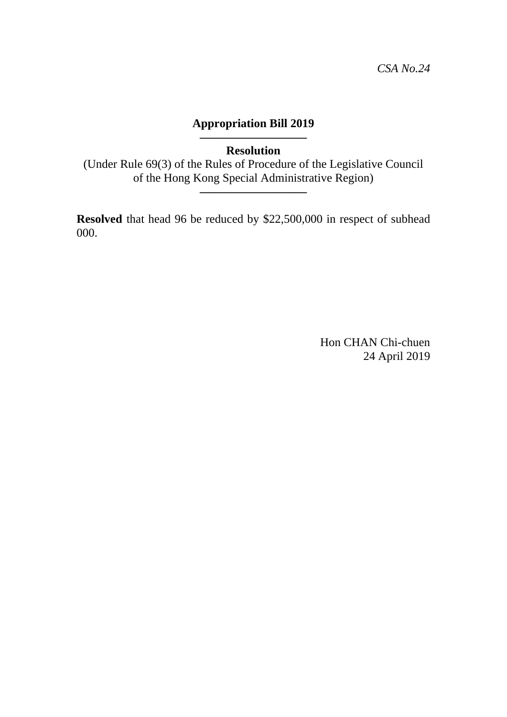### **————————— Resolution**

(Under Rule 69(3) of the Rules of Procedure of the Legislative Council of the Hong Kong Special Administrative Region)

**—————————**

**Resolved** that head 96 be reduced by \$22,500,000 in respect of subhead 000.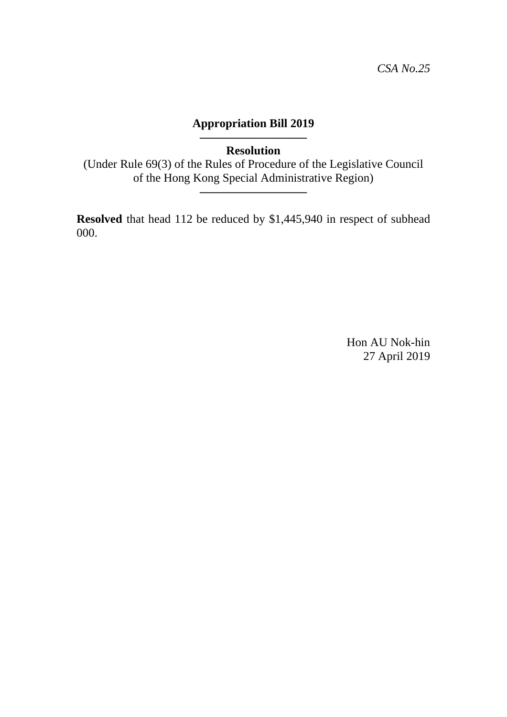**————————— Resolution** 

(Under Rule 69(3) of the Rules of Procedure of the Legislative Council of the Hong Kong Special Administrative Region)

**—————————**

**Resolved** that head 112 be reduced by \$1,445,940 in respect of subhead 000.

> Hon AU Nok-hin 27 April 2019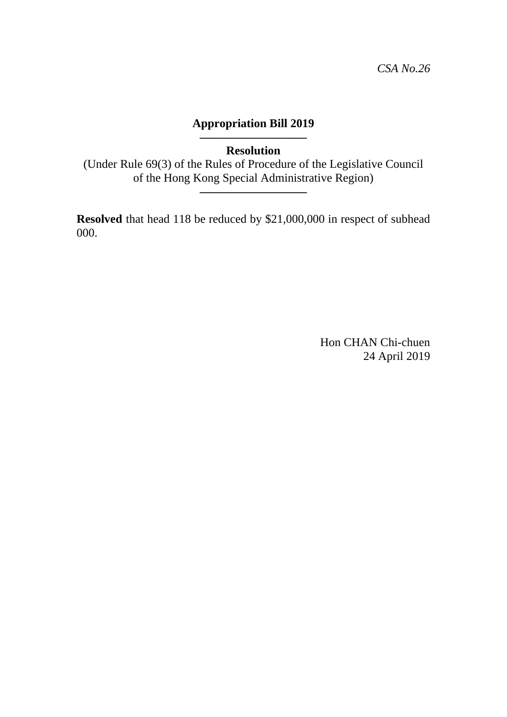### **————————— Resolution**

(Under Rule 69(3) of the Rules of Procedure of the Legislative Council of the Hong Kong Special Administrative Region)

**—————————**

**Resolved** that head 118 be reduced by \$21,000,000 in respect of subhead 000.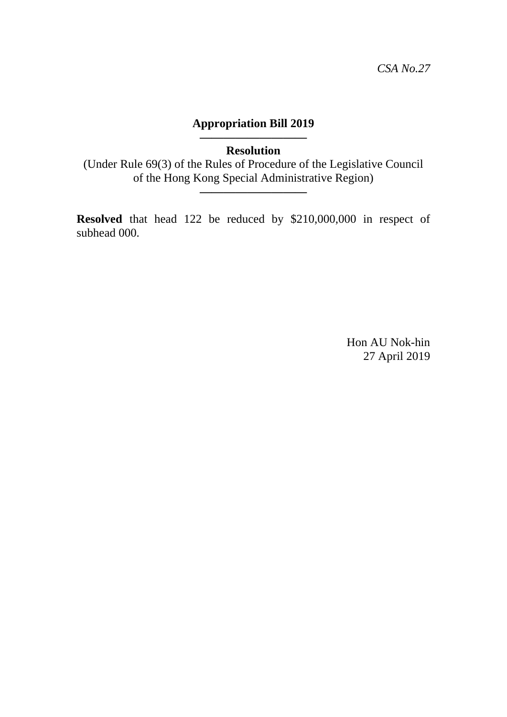**————————— Resolution** 

(Under Rule 69(3) of the Rules of Procedure of the Legislative Council of the Hong Kong Special Administrative Region)

**—————————**

**Resolved** that head 122 be reduced by \$210,000,000 in respect of subhead 000.

> Hon AU Nok-hin 27 April 2019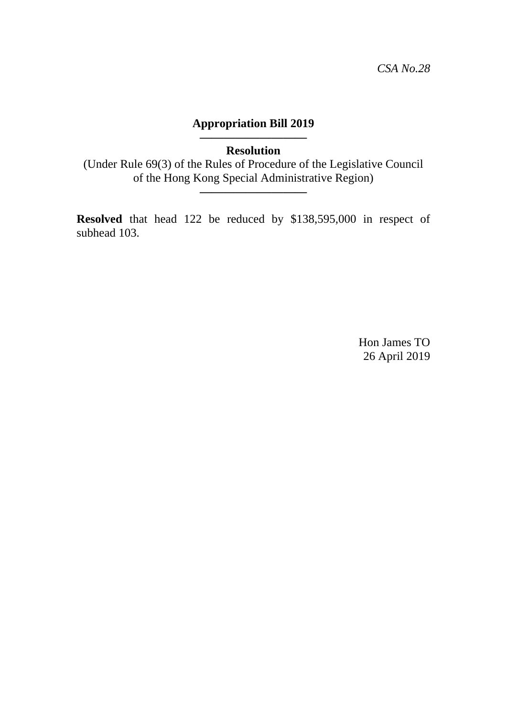**————————— Resolution** 

(Under Rule 69(3) of the Rules of Procedure of the Legislative Council of the Hong Kong Special Administrative Region)

**—————————**

**Resolved** that head 122 be reduced by \$138,595,000 in respect of subhead 103.

> Hon James TO 26 April 2019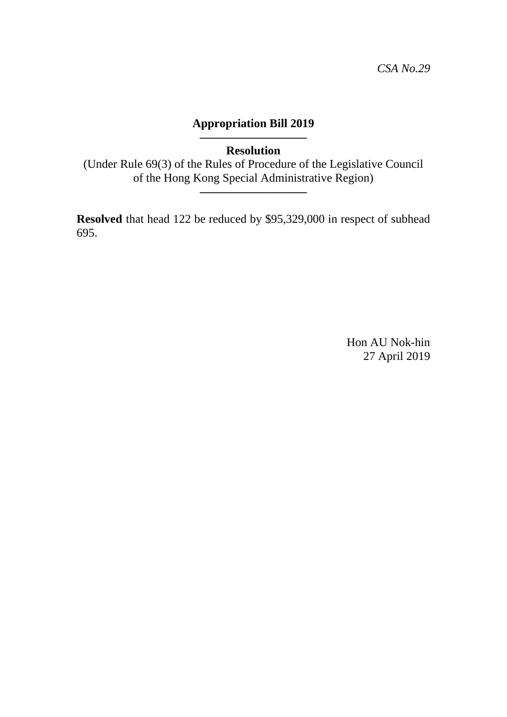### **————————— Resolution**

(Under Rule 69(3) of the Rules of Procedure of the Legislative Council of the Hong Kong Special Administrative Region)

**—————————**

**Resolved** that head 122 be reduced by \$95,329,000 in respect of subhead 695.

> Hon AU Nok-hin 27 April 2019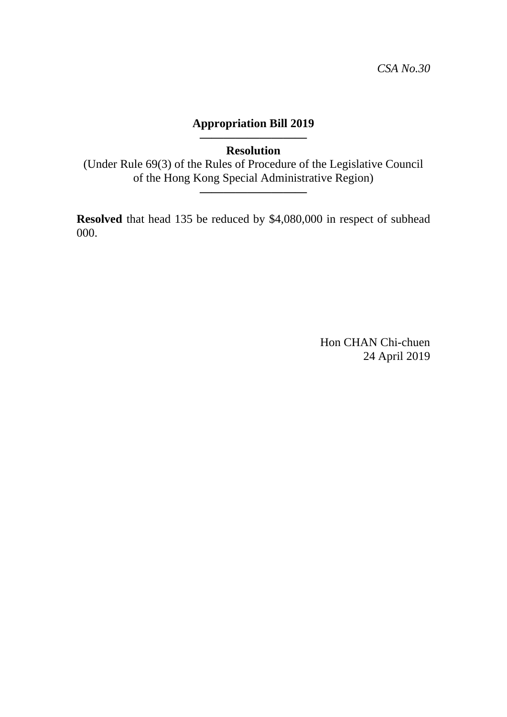### **————————— Resolution**

(Under Rule 69(3) of the Rules of Procedure of the Legislative Council of the Hong Kong Special Administrative Region)

**—————————**

**Resolved** that head 135 be reduced by \$4,080,000 in respect of subhead 000.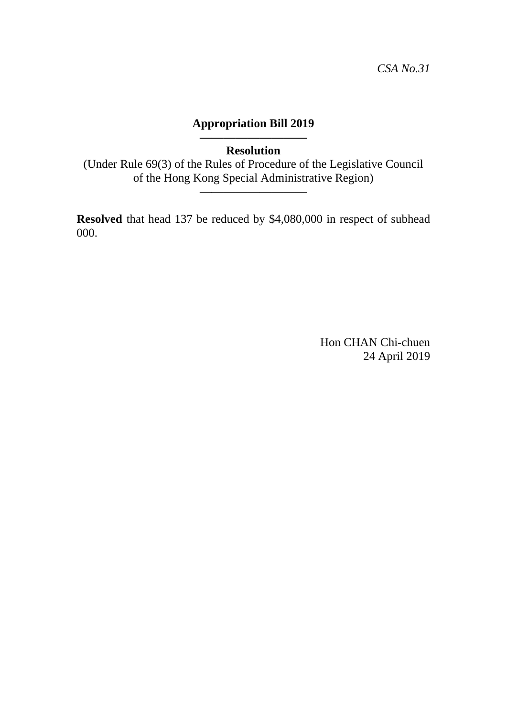### **————————— Resolution**

(Under Rule 69(3) of the Rules of Procedure of the Legislative Council of the Hong Kong Special Administrative Region)

**—————————**

**Resolved** that head 137 be reduced by \$4,080,000 in respect of subhead 000.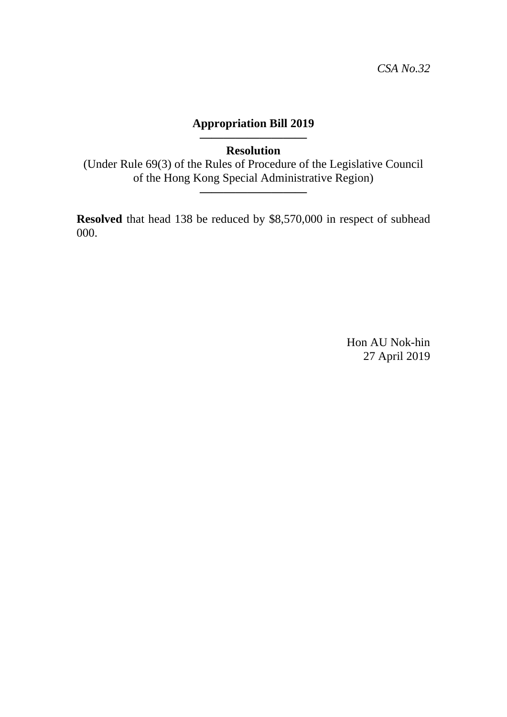**————————— Resolution** 

(Under Rule 69(3) of the Rules of Procedure of the Legislative Council of the Hong Kong Special Administrative Region)

**—————————**

**Resolved** that head 138 be reduced by \$8,570,000 in respect of subhead 000.

> Hon AU Nok-hin 27 April 2019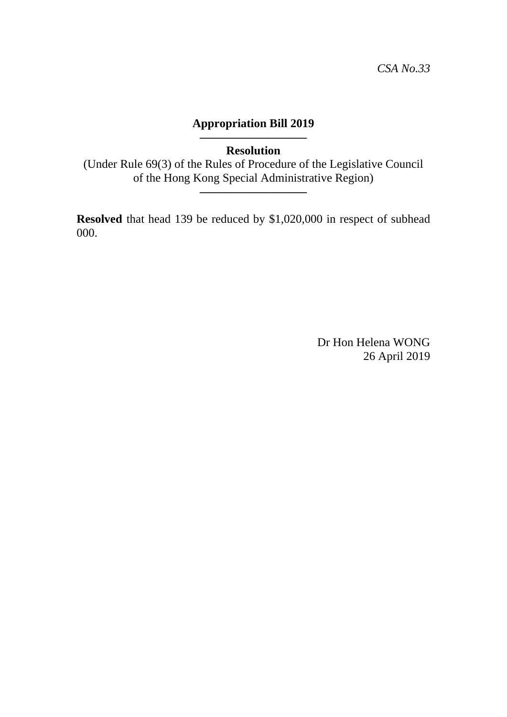### **————————— Resolution**

(Under Rule 69(3) of the Rules of Procedure of the Legislative Council of the Hong Kong Special Administrative Region)

**—————————**

**Resolved** that head 139 be reduced by \$1,020,000 in respect of subhead 000.

> Dr Hon Helena WONG 26 April 2019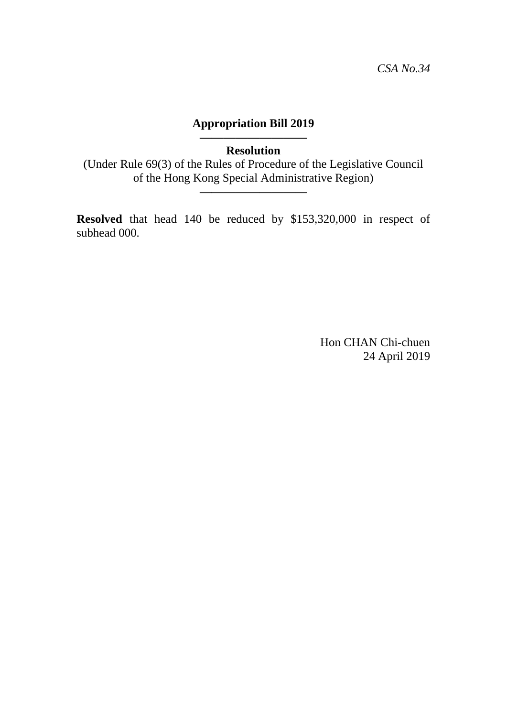### **————————— Resolution**

(Under Rule 69(3) of the Rules of Procedure of the Legislative Council of the Hong Kong Special Administrative Region)

**—————————**

**Resolved** that head 140 be reduced by \$153,320,000 in respect of subhead 000.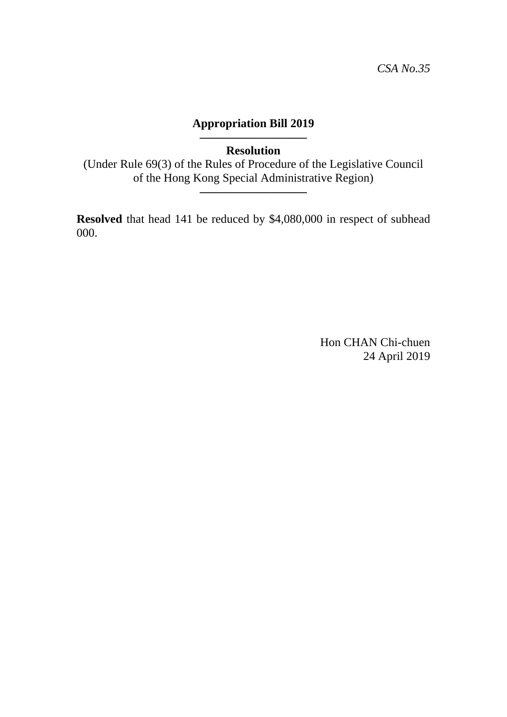### **————————— Resolution**

(Under Rule 69(3) of the Rules of Procedure of the Legislative Council of the Hong Kong Special Administrative Region)

**—————————**

**Resolved** that head 141 be reduced by \$4,080,000 in respect of subhead 000.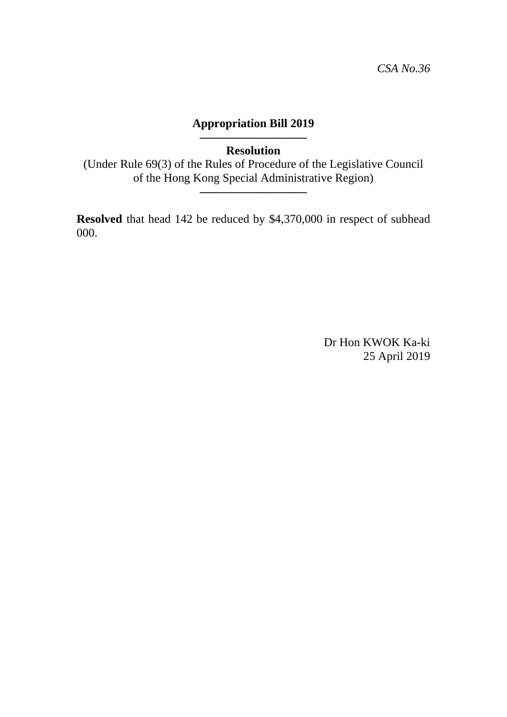### **————————— Resolution**

(Under Rule 69(3) of the Rules of Procedure of the Legislative Council of the Hong Kong Special Administrative Region)

**—————————**

**Resolved** that head 142 be reduced by \$4,370,000 in respect of subhead 000.

> Dr Hon KWOK Ka-ki 25 April 2019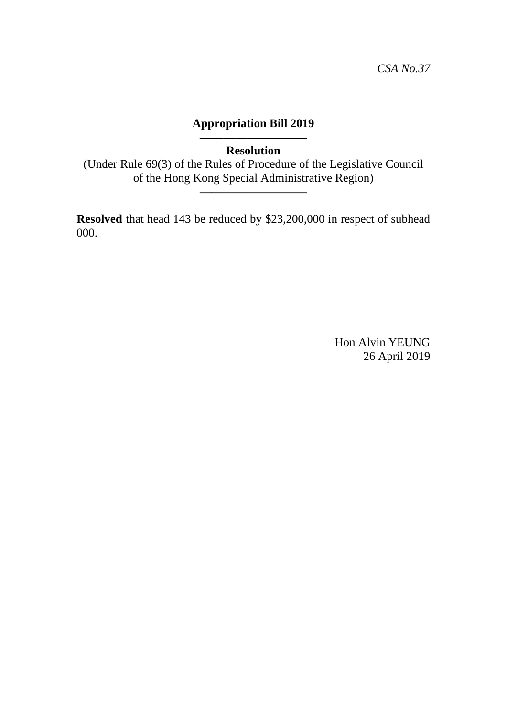### **————————— Resolution**

(Under Rule 69(3) of the Rules of Procedure of the Legislative Council of the Hong Kong Special Administrative Region)

**—————————**

**Resolved** that head 143 be reduced by \$23,200,000 in respect of subhead 000.

> Hon Alvin YEUNG 26 April 2019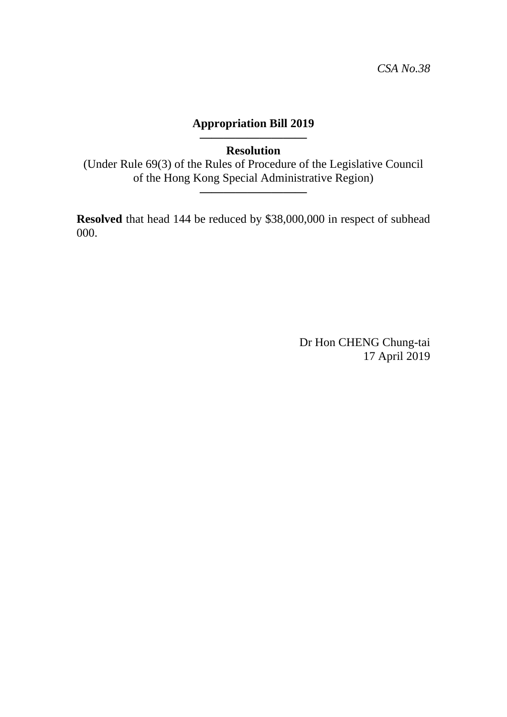### **————————— Resolution**

(Under Rule 69(3) of the Rules of Procedure of the Legislative Council of the Hong Kong Special Administrative Region)

**—————————**

**Resolved** that head 144 be reduced by \$38,000,000 in respect of subhead 000.

> Dr Hon CHENG Chung-tai 17 April 2019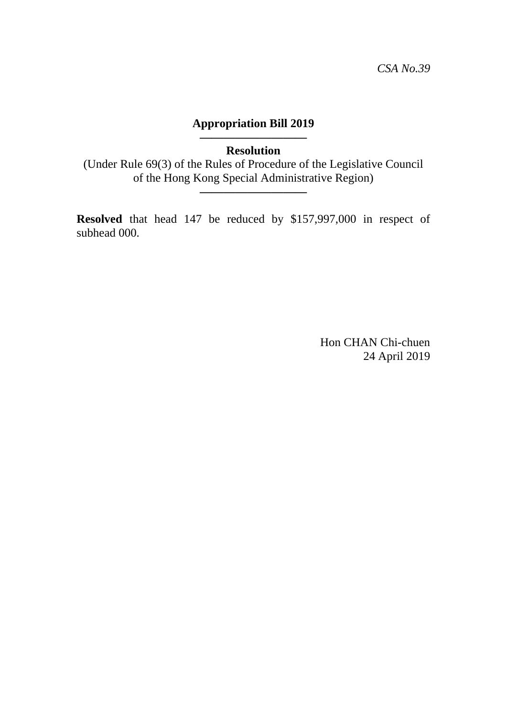**————————— Resolution** 

(Under Rule 69(3) of the Rules of Procedure of the Legislative Council of the Hong Kong Special Administrative Region)

**—————————**

**Resolved** that head 147 be reduced by \$157,997,000 in respect of subhead 000.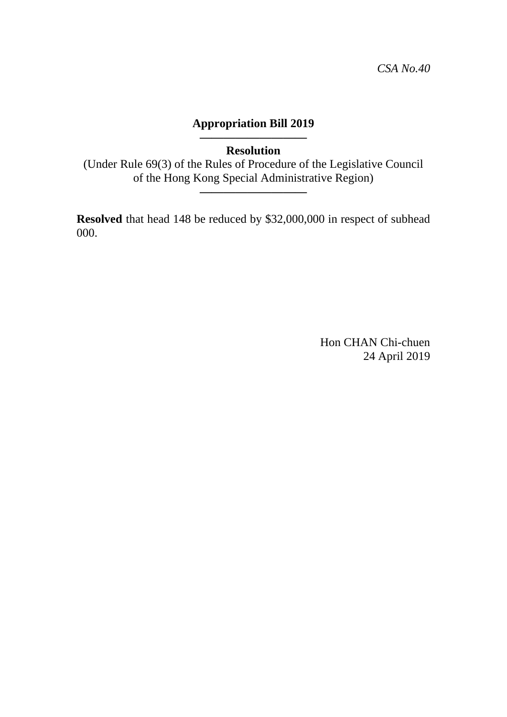### **————————— Resolution**

(Under Rule 69(3) of the Rules of Procedure of the Legislative Council of the Hong Kong Special Administrative Region)

**—————————**

**Resolved** that head 148 be reduced by \$32,000,000 in respect of subhead 000.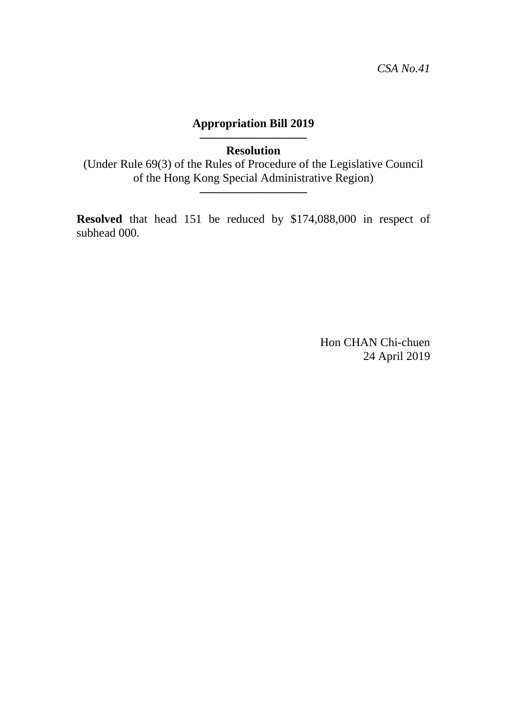**————————— Resolution** 

(Under Rule 69(3) of the Rules of Procedure of the Legislative Council of the Hong Kong Special Administrative Region)

**—————————**

**Resolved** that head 151 be reduced by \$174,088,000 in respect of subhead 000.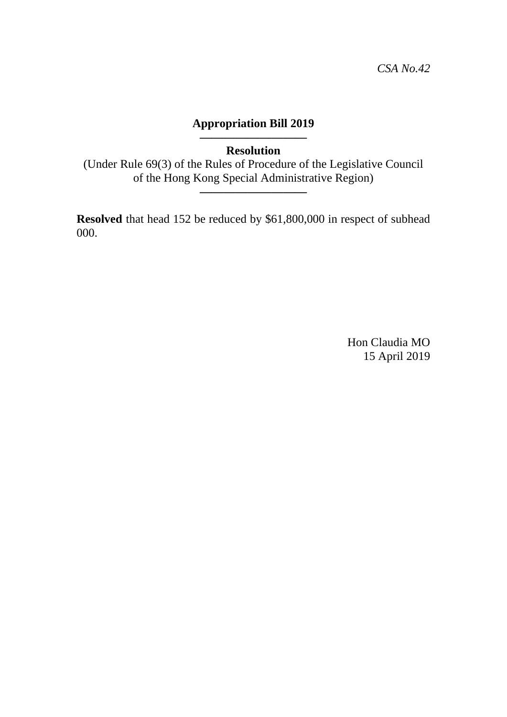**————————— Resolution** 

(Under Rule 69(3) of the Rules of Procedure of the Legislative Council of the Hong Kong Special Administrative Region)

**—————————**

**Resolved** that head 152 be reduced by \$61,800,000 in respect of subhead 000.

> Hon Claudia MO 15 April 2019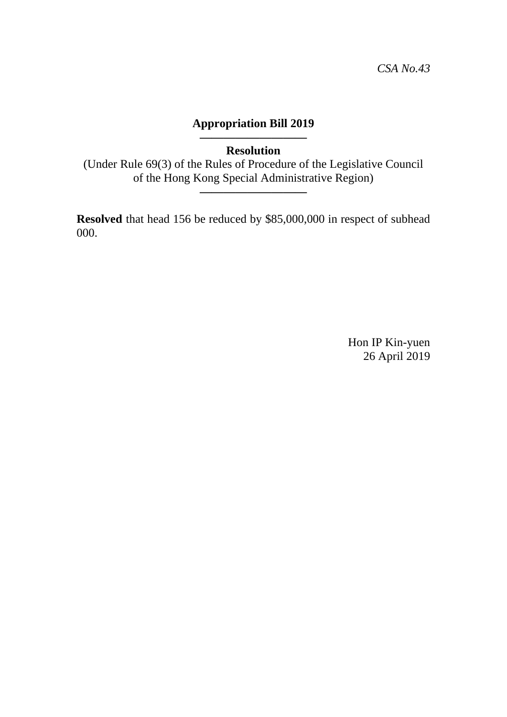### **————————— Resolution**

(Under Rule 69(3) of the Rules of Procedure of the Legislative Council of the Hong Kong Special Administrative Region)

**—————————**

**Resolved** that head 156 be reduced by \$85,000,000 in respect of subhead 000.

> Hon IP Kin-yuen 26 April 2019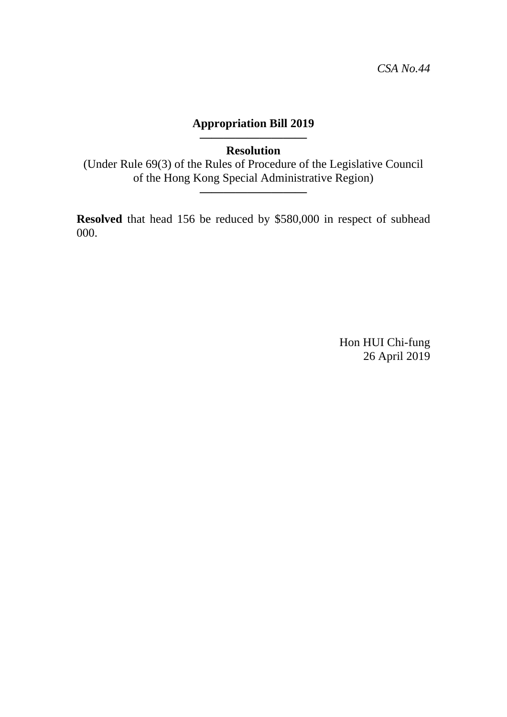### **————————— Resolution**

(Under Rule 69(3) of the Rules of Procedure of the Legislative Council of the Hong Kong Special Administrative Region)

**—————————**

**Resolved** that head 156 be reduced by \$580,000 in respect of subhead 000.

> Hon HUI Chi-fung 26 April 2019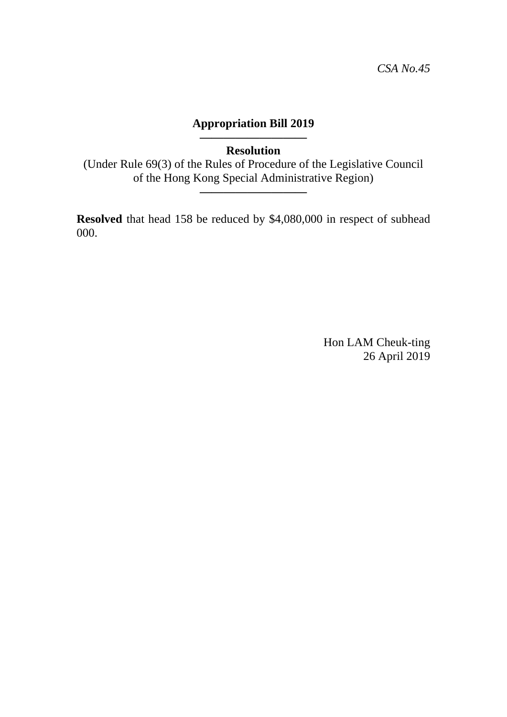### **————————— Resolution**

(Under Rule 69(3) of the Rules of Procedure of the Legislative Council of the Hong Kong Special Administrative Region)

**—————————**

**Resolved** that head 158 be reduced by \$4,080,000 in respect of subhead 000.

> Hon LAM Cheuk-ting 26 April 2019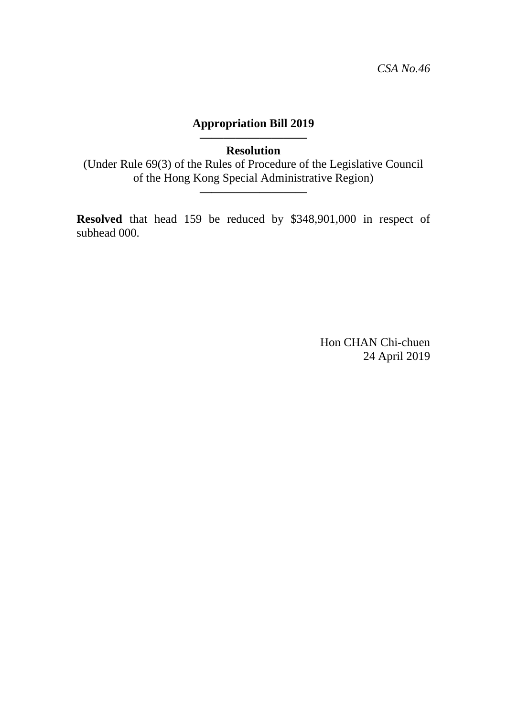**————————— Resolution** 

(Under Rule 69(3) of the Rules of Procedure of the Legislative Council of the Hong Kong Special Administrative Region)

**—————————**

**Resolved** that head 159 be reduced by \$348,901,000 in respect of subhead 000.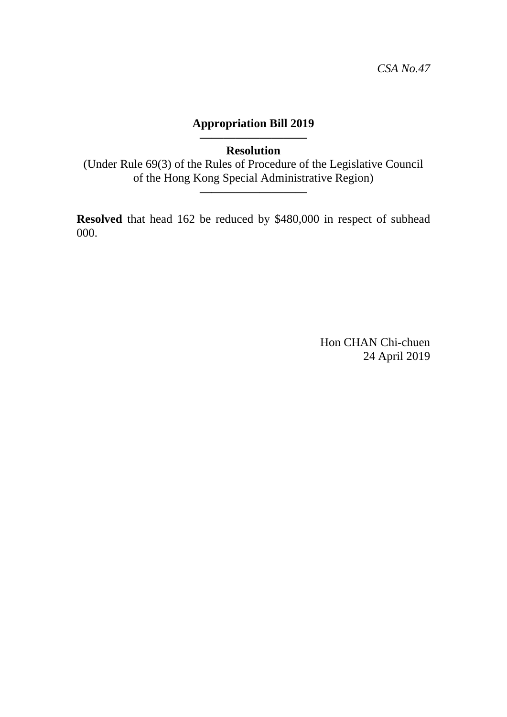### **————————— Resolution**

(Under Rule 69(3) of the Rules of Procedure of the Legislative Council of the Hong Kong Special Administrative Region)

**—————————**

**Resolved** that head 162 be reduced by \$480,000 in respect of subhead 000.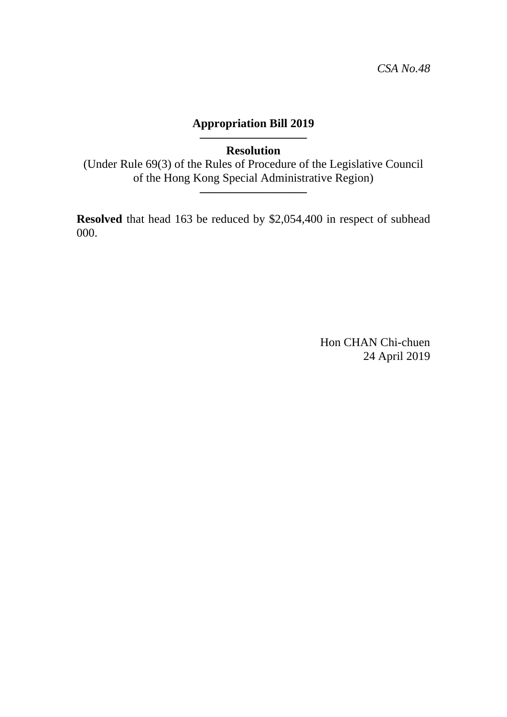### **————————— Resolution**

(Under Rule 69(3) of the Rules of Procedure of the Legislative Council of the Hong Kong Special Administrative Region)

**—————————**

**Resolved** that head 163 be reduced by \$2,054,400 in respect of subhead 000.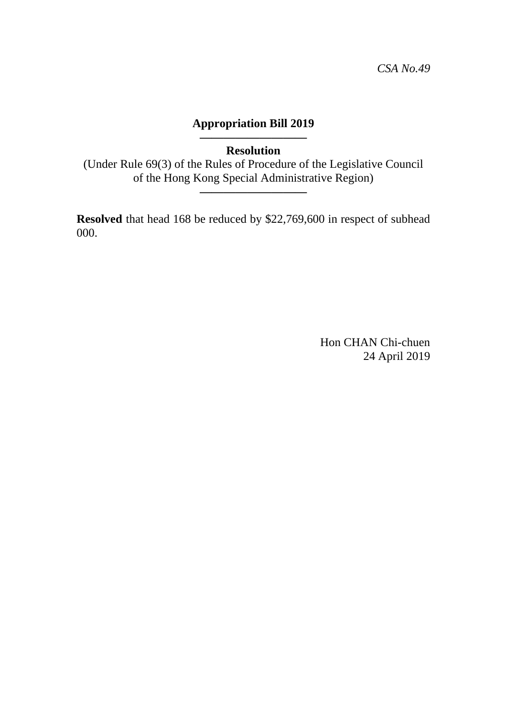### **————————— Resolution**

(Under Rule 69(3) of the Rules of Procedure of the Legislative Council of the Hong Kong Special Administrative Region)

**—————————**

**Resolved** that head 168 be reduced by \$22,769,600 in respect of subhead 000.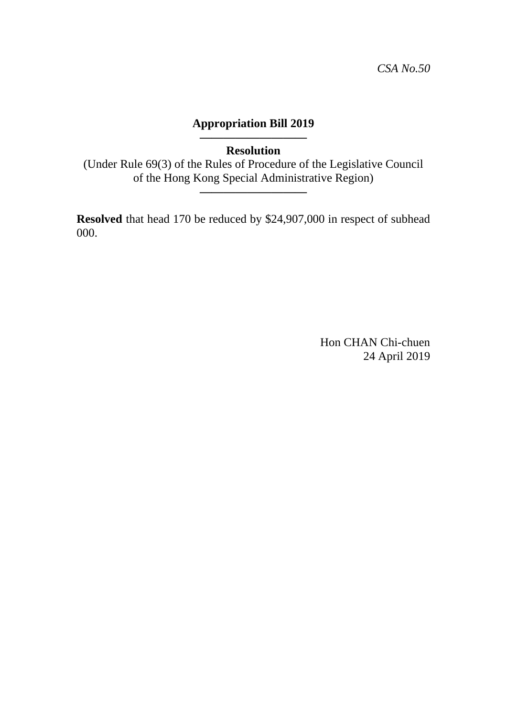### **————————— Resolution**

(Under Rule 69(3) of the Rules of Procedure of the Legislative Council of the Hong Kong Special Administrative Region)

**—————————**

**Resolved** that head 170 be reduced by \$24,907,000 in respect of subhead 000.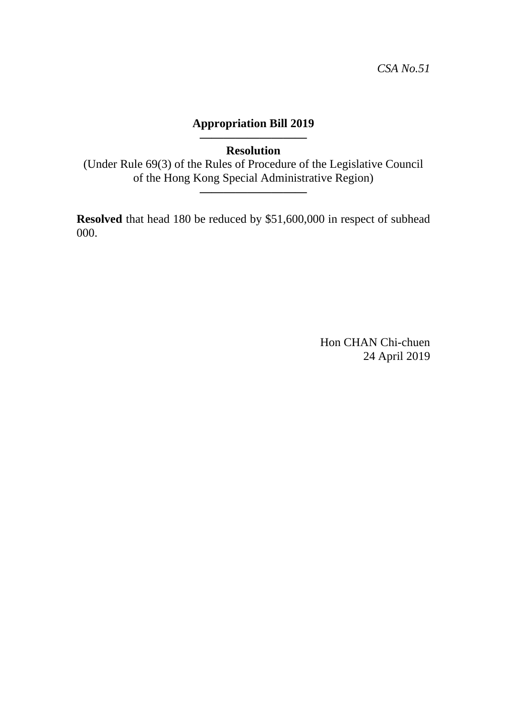### **————————— Resolution**

(Under Rule 69(3) of the Rules of Procedure of the Legislative Council of the Hong Kong Special Administrative Region)

**—————————**

**Resolved** that head 180 be reduced by \$51,600,000 in respect of subhead 000.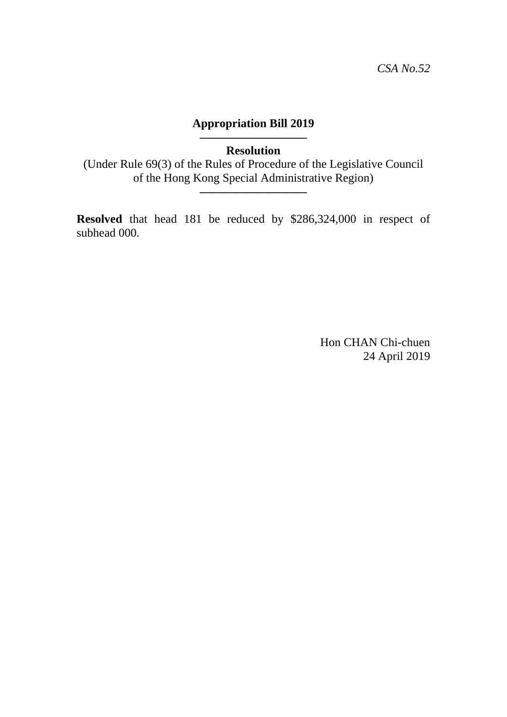**————————— Resolution** 

(Under Rule 69(3) of the Rules of Procedure of the Legislative Council of the Hong Kong Special Administrative Region)

**—————————**

**Resolved** that head 181 be reduced by \$286,324,000 in respect of subhead 000.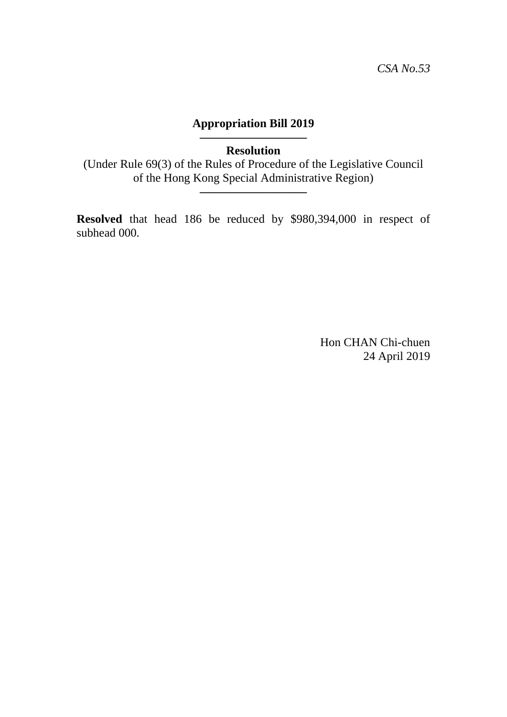### **————————— Resolution**

(Under Rule 69(3) of the Rules of Procedure of the Legislative Council of the Hong Kong Special Administrative Region)

**—————————**

**Resolved** that head 186 be reduced by \$980,394,000 in respect of subhead 000.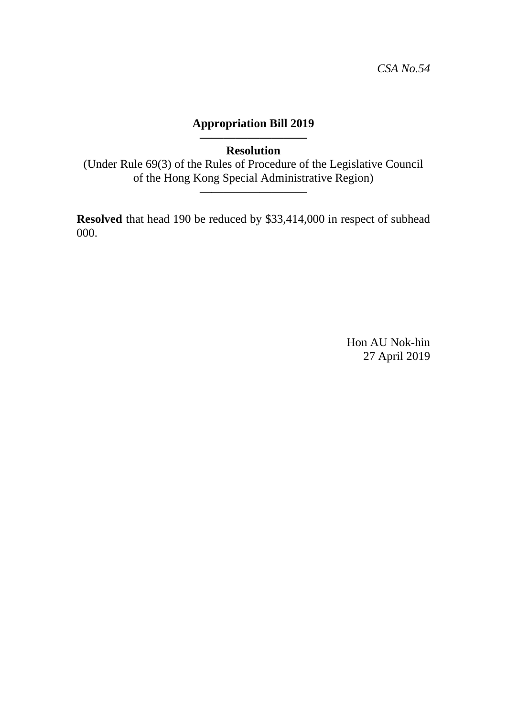### **————————— Resolution**

(Under Rule 69(3) of the Rules of Procedure of the Legislative Council of the Hong Kong Special Administrative Region)

**—————————**

**Resolved** that head 190 be reduced by \$33,414,000 in respect of subhead 000.

> Hon AU Nok-hin 27 April 2019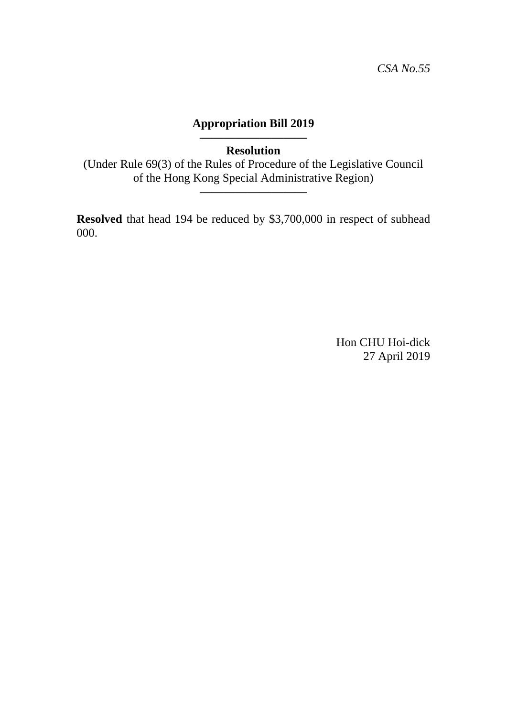**————————— Resolution** 

(Under Rule 69(3) of the Rules of Procedure of the Legislative Council of the Hong Kong Special Administrative Region)

**—————————**

**Resolved** that head 194 be reduced by \$3,700,000 in respect of subhead 000.

> Hon CHU Hoi-dick 27 April 2019